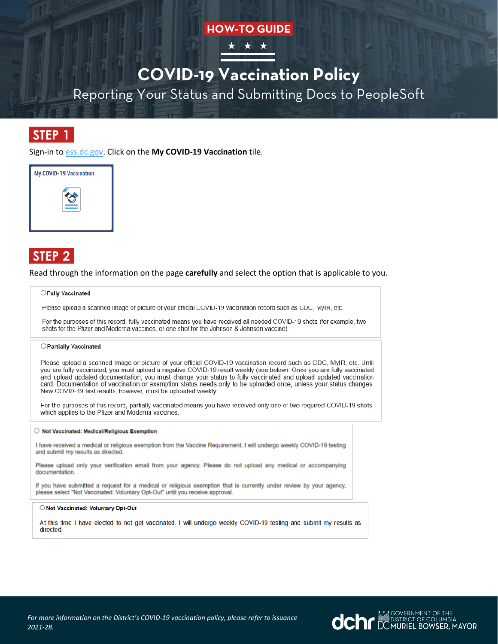### **HOW-TO GUIDE**



# **COVID-19 Vaccination Policy**

Reporting Your Status and Submitting Docs to PeopleSoft

## **STEP 1**

Sign-in to ess.dc.gov. Click on the **My COVID-19 Vaccination** tile.



# **STEP 2**

Read through the information on the page **carefully** and select the option that is applicable to you.

### O Fully Vaccinated

Please upload a scanned image or picture of your official COVID-19 vaccination record such as CDC. MyIR, etc.

For the purposes of this record, fully vaccinated means you have received all needed COVID-19 shots (for example, two shots for the Pfizer and Moderna vaccines, or one shot for the Johnson & Johnson vaccine).

### ○ Partially Vaccinated

Please upload a scanned image or picture of your official COVID-19 vaccination record such as CDC, MyIR, etc. Until you are fully vaccinated, you must upload a negative COVID-19 result weekly (see below). Once you are fully vaccinated and upload updated documentation, you must change your status to fully vaccinated and upload updated vaccination card. Documentation of vaccination or exemption status needs only to be uploaded once, unless your status changes. New COVID-19 test results, however, must be uploaded weekly.

For the purposes of this record, partially vaccinated means you have received only one of two required COVID-19 shots, which applies to the Pfizer and Moderna vaccines.

#### ○ Not Vaccinated: Medical/Religious Exemption

I have received a medical or religious exemption from the Vaccine Requirement. I will undergo weekly COVID-19 testing and submit my results as directed.

Please upload only your verification email from your agency. Please do not upload any medical or accompanying documentation.

If you have submitted a request for a medical or religious exemption that is currently under review by your agency, please select "Not Vaccinated: Voluntary Opt-Out" until you receive approval.

#### O Not Vaccinated: Voluntary Opt-Out

At this time I have elected to not get vaccinated. I will undergo weekly COVID-19 testing and submit my results as directed.

**OCHE DESCRIPTION OF THE DISTRICT OF COLUMBIA**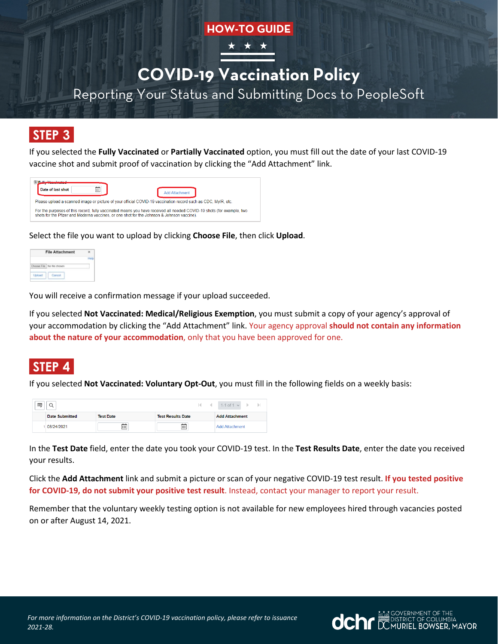### **HOW-TO GUIDE**



# **COVID-19 Vaccination Policy**

Reporting Your Status and Submitting Docs to PeopleSoft

## **STEP 3**

If you selected the **Fully Vaccinated** or **Partially Vaccinated** option, you must fill out the date of your last COVID-19 vaccine shot and submit proof of vaccination by clicking the "Add Attachment" link.

| Date of last shot<br>m                                                                                                                                                                                              | <b>Add Attachment</b> |  |  |  |
|---------------------------------------------------------------------------------------------------------------------------------------------------------------------------------------------------------------------|-----------------------|--|--|--|
| Please upload a scanned image or picture of your official COVID-19 vaccination record such as CDC, MyIR, etc.                                                                                                       |                       |  |  |  |
| For the purposes of this record, fully vaccinated means you have received all needed COVID-19 shots (for example, two<br>shots for the Pfizer and Moderna vaccines, or one shot for the Johnson & Johnson vaccine). |                       |  |  |  |

Select the file you want to upload by clicking **Choose File**, then click **Upload**.

| <b>File Attachment</b>     |  |
|----------------------------|--|
|                            |  |
| Choose File No file chosen |  |
|                            |  |
|                            |  |

You will receive a confirmation message if your upload succeeded.

If you selected **Not Vaccinated: Medical/Religious Exemption**, you must submit a copy of your agency's approval of your accommodation by clicking the "Add Attachment" link. Your agency approval **should not contain any information about the nature of your accommodation**, only that you have been approved for one.

## **STEP 4**

If you selected **Not Vaccinated: Voluntary Opt-Out**, you must fill in the following fields on a weekly basis:

| 噩 |                |                  |                          | $\vert$ $\vert$ 1-1 of 1 $\vert$ $\vert$ |
|---|----------------|------------------|--------------------------|------------------------------------------|
|   | Date Submitted | <b>Test Date</b> | <b>Test Results Date</b> | <b>Add Attachment</b>                    |
|   | 08/24/2021     | 蘦                | 繭                        | <b>Add Attachment</b>                    |

In the **Test Date** field, enter the date you took your COVID-19 test. In the **Test Results Date**, enter the date you received your results.

Click the **Add Attachment** link and submit a picture or scan of your negative COVID-19 test result. **If you tested positive for COVID-19, do not submit your positive test result**. Instead, contact your manager to report your result.

Remember that the voluntary weekly testing option is not available for new employees hired through vacancies posted on or after August 14, 2021.